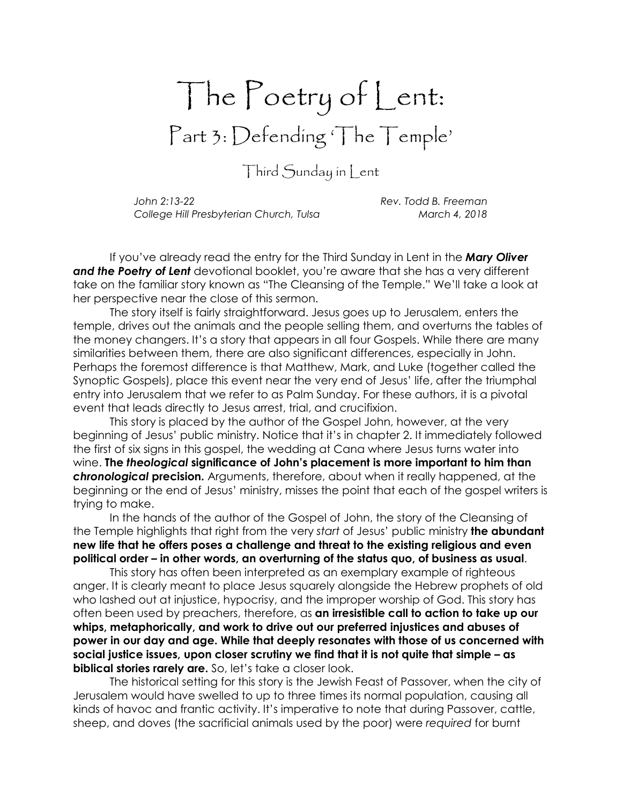## The Poetry of Lent: Part 3: Defending The Temple'

Third Sunday in Lent

John 2:13-22 Rev. Todd B. Freeman College Hill Presbyterian Church, Tulsa March 4, 2018

If you've already read the entry for the Third Sunday in Lent in the **Mary Oliver** and the Poetry of Lent devotional booklet, you're aware that she has a very different take on the familiar story known as "The Cleansing of the Temple." We'll take a look at her perspective near the close of this sermon.

The story itself is fairly straightforward. Jesus goes up to Jerusalem, enters the temple, drives out the animals and the people selling them, and overturns the tables of the money changers. It's a story that appears in all four Gospels. While there are many similarities between them, there are also significant differences, especially in John. Perhaps the foremost difference is that Matthew, Mark, and Luke (together called the Synoptic Gospels), place this event near the very end of Jesus' life, after the triumphal entry into Jerusalem that we refer to as Palm Sunday. For these authors, it is a pivotal event that leads directly to Jesus arrest, trial, and crucifixion.

This story is placed by the author of the Gospel John, however, at the very beginning of Jesus' public ministry. Notice that it's in chapter 2. It immediately followed the first of six signs in this gospel, the wedding at Cana where Jesus turns water into wine. The theological significance of John's placement is more important to him than chronological precision. Arguments, therefore, about when it really happened, at the beginning or the end of Jesus' ministry, misses the point that each of the gospel writers is trying to make.

In the hands of the author of the Gospel of John, the story of the Cleansing of the Temple highlights that right from the very start of Jesus' public ministry the abundant new life that he offers poses a challenge and threat to the existing religious and even political order – in other words, an overturning of the status quo, of business as usual.

This story has often been interpreted as an exemplary example of righteous anger. It is clearly meant to place Jesus squarely alongside the Hebrew prophets of old who lashed out at injustice, hypocrisy, and the improper worship of God. This story has often been used by preachers, therefore, as an irresistible call to action to take up our whips, metaphorically, and work to drive out our preferred injustices and abuses of power in our day and age. While that deeply resonates with those of us concerned with social justice issues, upon closer scrutiny we find that it is not quite that simple – as biblical stories rarely are. So, let's take a closer look.

The historical setting for this story is the Jewish Feast of Passover, when the city of Jerusalem would have swelled to up to three times its normal population, causing all kinds of havoc and frantic activity. It's imperative to note that during Passover, cattle, sheep, and doves (the sacrificial animals used by the poor) were required for burnt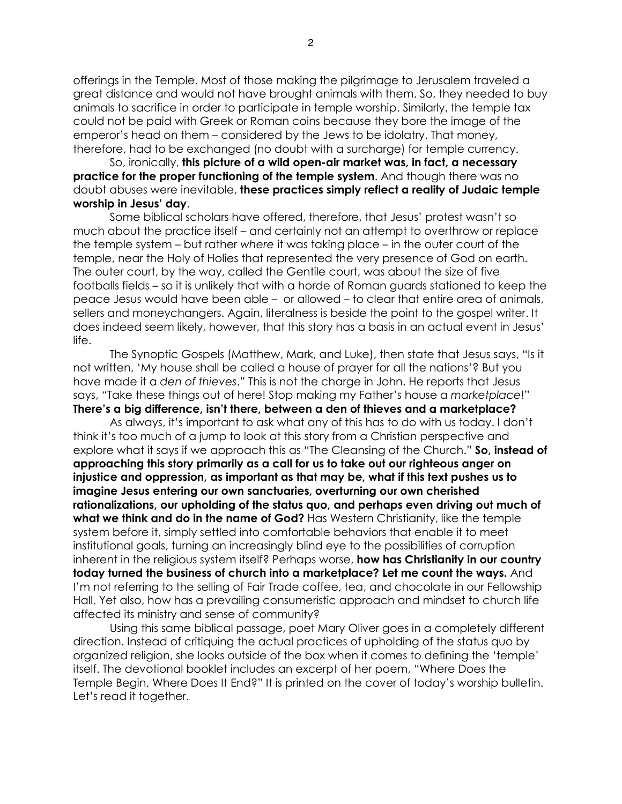offerings in the Temple. Most of those making the pilgrimage to Jerusalem traveled a great distance and would not have brought animals with them. So, they needed to buy animals to sacrifice in order to participate in temple worship. Similarly, the temple tax could not be paid with Greek or Roman coins because they bore the image of the emperor's head on them – considered by the Jews to be idolatry. That money, therefore, had to be exchanged (no doubt with a surcharge) for temple currency.

So, ironically, this picture of a wild open-air market was, in fact, a necessary practice for the proper functioning of the temple system. And though there was no doubt abuses were inevitable, these practices simply reflect a reality of Judaic temple worship in Jesus' day.

Some biblical scholars have offered, therefore, that Jesus' protest wasn't so much about the practice itself – and certainly not an attempt to overthrow or replace the temple system – but rather where it was taking place – in the outer court of the temple, near the Holy of Holies that represented the very presence of God on earth. The outer court, by the way, called the Gentile court, was about the size of five footballs fields – so it is unlikely that with a horde of Roman guards stationed to keep the peace Jesus would have been able – or allowed – to clear that entire area of animals, sellers and moneychangers. Again, literalness is beside the point to the gospel writer. It does indeed seem likely, however, that this story has a basis in an actual event in Jesus' life.

The Synoptic Gospels (Matthew, Mark, and Luke), then state that Jesus says, "Is it not written, 'My house shall be called a house of prayer for all the nations'? But you have made it a den of thieves." This is not the charge in John. He reports that Jesus says, "Take these things out of here! Stop making my Father's house a marketplace!" There's a big difference, isn't there, between a den of thieves and a marketplace?

As always, it's important to ask what any of this has to do with us today. I don't think it's too much of a jump to look at this story from a Christian perspective and explore what it says if we approach this as "The Cleansing of the Church." So, instead of approaching this story primarily as a call for us to take out our righteous anger on injustice and oppression, as important as that may be, what if this text pushes us to imagine Jesus entering our own sanctuaries, overturning our own cherished rationalizations, our upholding of the status quo, and perhaps even driving out much of what we think and do in the name of God? Has Western Christianity, like the temple system before it, simply settled into comfortable behaviors that enable it to meet institutional goals, turning an increasingly blind eye to the possibilities of corruption inherent in the religious system itself? Perhaps worse, **how has Christianity in our country** today turned the business of church into a marketplace? Let me count the ways. And I'm not referring to the selling of Fair Trade coffee, tea, and chocolate in our Fellowship Hall. Yet also, how has a prevailing consumeristic approach and mindset to church life affected its ministry and sense of community?

Using this same biblical passage, poet Mary Oliver goes in a completely different direction. Instead of critiquing the actual practices of upholding of the status quo by organized religion, she looks outside of the box when it comes to defining the 'temple' itself. The devotional booklet includes an excerpt of her poem, "Where Does the Temple Begin, Where Does It End?" It is printed on the cover of today's worship bulletin. Let's read it together.